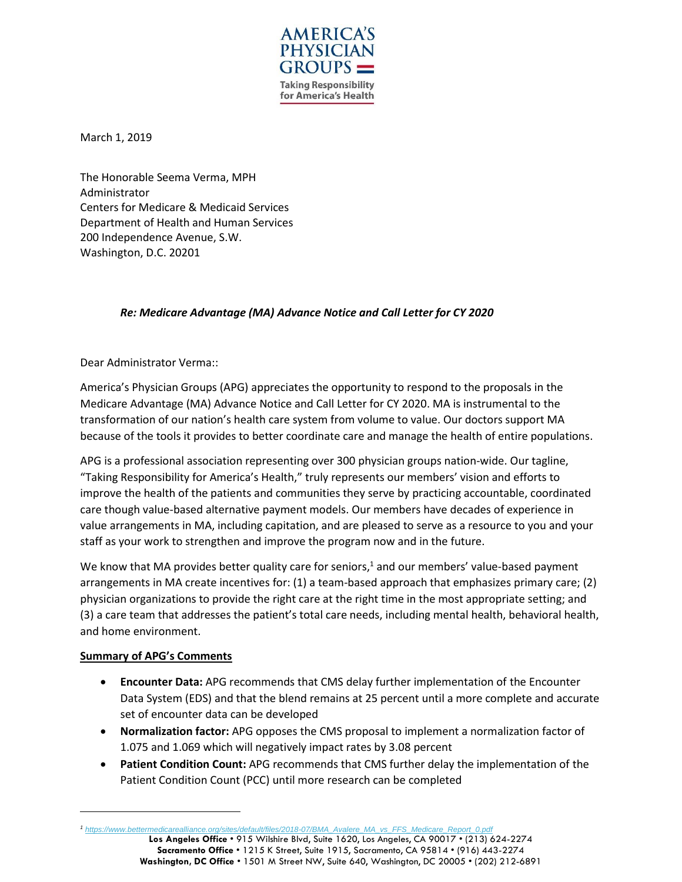

March 1, 2019

The Honorable Seema Verma, MPH Administrator Centers for Medicare & Medicaid Services Department of Health and Human Services 200 Independence Avenue, S.W. Washington, D.C. 20201

# *Re: Medicare Advantage (MA) Advance Notice and Call Letter for CY 2020*

Dear Administrator Verma::

America's Physician Groups (APG) appreciates the opportunity to respond to the proposals in the Medicare Advantage (MA) Advance Notice and Call Letter for CY 2020. MA is instrumental to the transformation of our nation's health care system from volume to value. Our doctors support MA because of the tools it provides to better coordinate care and manage the health of entire populations.

APG is a professional association representing over 300 physician groups nation-wide. Our tagline, "Taking Responsibility for America's Health," truly represents our members' vision and efforts to improve the health of the patients and communities they serve by practicing accountable, coordinated care though value-based alternative payment models. Our members have decades of experience in value arrangements in MA, including capitation, and are pleased to serve as a resource to you and your staff as your work to strengthen and improve the program now and in the future.

We know that MA provides better quality care for seniors,<sup>1</sup> and our members' value-based payment arrangements in MA create incentives for: (1) a team-based approach that emphasizes primary care; (2) physician organizations to provide the right care at the right time in the most appropriate setting; and (3) a care team that addresses the patient's total care needs, including mental health, behavioral health, and home environment.

### **Summary of APG's Comments**

- **Encounter Data:** APG recommends that CMS delay further implementation of the Encounter Data System (EDS) and that the blend remains at 25 percent until a more complete and accurate set of encounter data can be developed
- **Normalization factor:** APG opposes the CMS proposal to implement a normalization factor of 1.075 and 1.069 which will negatively impact rates by 3.08 percent
- **Patient Condition Count:** APG recommends that CMS further delay the implementation of the Patient Condition Count (PCC) until more research can be completed

**Los Angeles Office** • 915 Wilshire Blvd, Suite 1620, Los Angeles, CA 90017 • (213) 624-2274 **Sacramento Office** • 1215 K Street, Suite 1915, Sacramento, CA 95814 • (916) 443-2274 **Washington, DC Office** • 1501 M Street NW, Suite 640, Washington, DC 20005 • (202) 212-6891 *<sup>1</sup> [https://www.bettermedicarealliance.org/sites/default/files/2018-07/BMA\\_Avalere\\_MA\\_vs\\_FFS\\_Medicare\\_Report\\_0.pdf](https://www.bettermedicarealliance.org/sites/default/files/2018-07/BMA_Avalere_MA_vs_FFS_Medicare_Report_0.pdf)*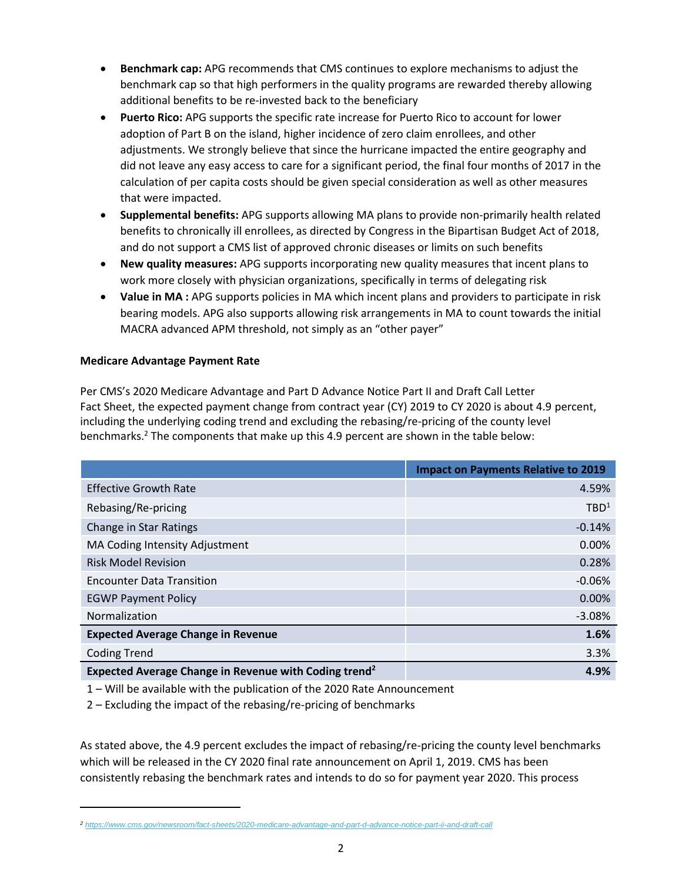- **Benchmark cap:** APG recommends that CMS continues to explore mechanisms to adjust the benchmark cap so that high performers in the quality programs are rewarded thereby allowing additional benefits to be re-invested back to the beneficiary
- **Puerto Rico:** APG supports the specific rate increase for Puerto Rico to account for lower adoption of Part B on the island, higher incidence of zero claim enrollees, and other adjustments. We strongly believe that since the hurricane impacted the entire geography and did not leave any easy access to care for a significant period, the final four months of 2017 in the calculation of per capita costs should be given special consideration as well as other measures that were impacted.
- **Supplemental benefits:** APG supports allowing MA plans to provide non-primarily health related benefits to chronically ill enrollees, as directed by Congress in the Bipartisan Budget Act of 2018, and do not support a CMS list of approved chronic diseases or limits on such benefits
- **New quality measures:** APG supports incorporating new quality measures that incent plans to work more closely with physician organizations, specifically in terms of delegating risk
- **Value in MA :** APG supports policies in MA which incent plans and providers to participate in risk bearing models. APG also supports allowing risk arrangements in MA to count towards the initial MACRA advanced APM threshold, not simply as an "other payer"

# **Medicare Advantage Payment Rate**

Per CMS's 2020 Medicare Advantage and Part D Advance Notice Part II and Draft Call Letter Fact Sheet, the expected payment change from contract year (CY) 2019 to CY 2020 is about 4.9 percent, including the underlying coding trend and excluding the rebasing/re-pricing of the county level benchmarks.<sup>2</sup> The components that make up this 4.9 percent are shown in the table below:

|                                                                   | <b>Impact on Payments Relative to 2019</b> |
|-------------------------------------------------------------------|--------------------------------------------|
| <b>Effective Growth Rate</b>                                      | 4.59%                                      |
| Rebasing/Re-pricing                                               | TBD <sup>1</sup>                           |
| Change in Star Ratings                                            | $-0.14%$                                   |
| MA Coding Intensity Adjustment                                    | $0.00\%$                                   |
| <b>Risk Model Revision</b>                                        | 0.28%                                      |
| <b>Encounter Data Transition</b>                                  | $-0.06%$                                   |
| <b>EGWP Payment Policy</b>                                        | 0.00%                                      |
| Normalization                                                     | $-3.08%$                                   |
| <b>Expected Average Change in Revenue</b>                         | 1.6%                                       |
| <b>Coding Trend</b>                                               | 3.3%                                       |
| Expected Average Change in Revenue with Coding trend <sup>2</sup> | 4.9%                                       |

1 – Will be available with the publication of the 2020 Rate Announcement

2 – Excluding the impact of the rebasing/re-pricing of benchmarks

As stated above, the 4.9 percent excludes the impact of rebasing/re-pricing the county level benchmarks which will be released in the CY 2020 final rate announcement on April 1, 2019. CMS has been consistently rebasing the benchmark rates and intends to do so for payment year 2020. This process

*<sup>2</sup> <https://www.cms.gov/newsroom/fact-sheets/2020-medicare-advantage-and-part-d-advance-notice-part-ii-and-draft-call>*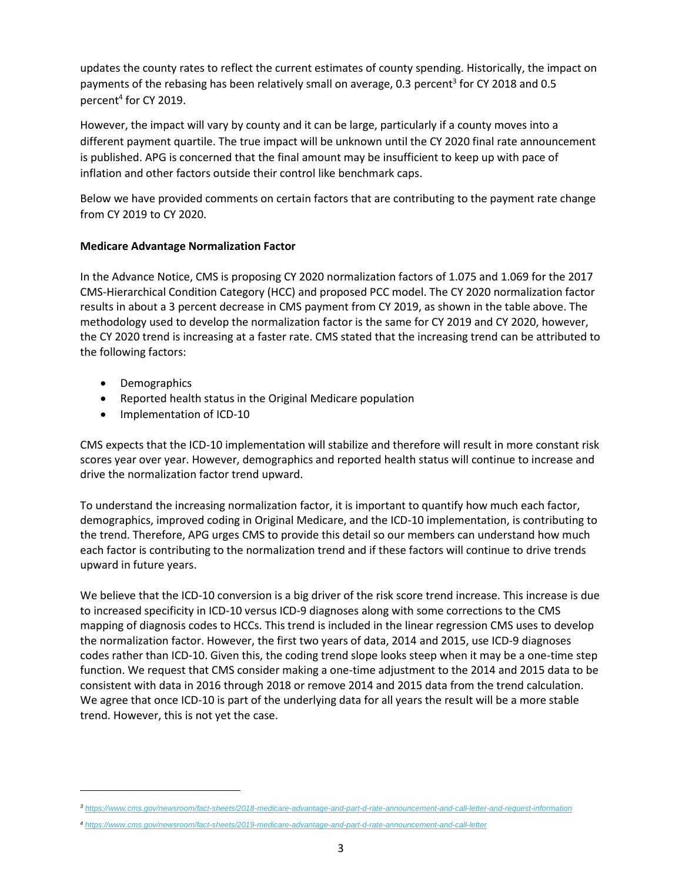updates the county rates to reflect the current estimates of county spending. Historically, the impact on payments of the rebasing has been relatively small on average, 0.3 percent<sup>3</sup> for CY 2018 and 0.5 percent<sup>4</sup> for CY 2019.

However, the impact will vary by county and it can be large, particularly if a county moves into a different payment quartile. The true impact will be unknown until the CY 2020 final rate announcement is published. APG is concerned that the final amount may be insufficient to keep up with pace of inflation and other factors outside their control like benchmark caps.

Below we have provided comments on certain factors that are contributing to the payment rate change from CY 2019 to CY 2020.

## **Medicare Advantage Normalization Factor**

In the Advance Notice, CMS is proposing CY 2020 normalization factors of 1.075 and 1.069 for the 2017 CMS-Hierarchical Condition Category (HCC) and proposed PCC model. The CY 2020 normalization factor results in about a 3 percent decrease in CMS payment from CY 2019, as shown in the table above. The methodology used to develop the normalization factor is the same for CY 2019 and CY 2020, however, the CY 2020 trend is increasing at a faster rate. CMS stated that the increasing trend can be attributed to the following factors:

• Demographics

- Reported health status in the Original Medicare population
- Implementation of ICD-10

CMS expects that the ICD-10 implementation will stabilize and therefore will result in more constant risk scores year over year. However, demographics and reported health status will continue to increase and drive the normalization factor trend upward.

To understand the increasing normalization factor, it is important to quantify how much each factor, demographics, improved coding in Original Medicare, and the ICD-10 implementation, is contributing to the trend. Therefore, APG urges CMS to provide this detail so our members can understand how much each factor is contributing to the normalization trend and if these factors will continue to drive trends upward in future years.

We believe that the ICD-10 conversion is a big driver of the risk score trend increase. This increase is due to increased specificity in ICD-10 versus ICD-9 diagnoses along with some corrections to the CMS mapping of diagnosis codes to HCCs. This trend is included in the linear regression CMS uses to develop the normalization factor. However, the first two years of data, 2014 and 2015, use ICD-9 diagnoses codes rather than ICD-10. Given this, the coding trend slope looks steep when it may be a one-time step function. We request that CMS consider making a one-time adjustment to the 2014 and 2015 data to be consistent with data in 2016 through 2018 or remove 2014 and 2015 data from the trend calculation. We agree that once ICD-10 is part of the underlying data for all years the result will be a more stable trend. However, this is not yet the case.

*<sup>3</sup> <https://www.cms.gov/newsroom/fact-sheets/2018-medicare-advantage-and-part-d-rate-announcement-and-call-letter-and-request-information>*

*<sup>4</sup> <https://www.cms.gov/newsroom/fact-sheets/2019-medicare-advantage-and-part-d-rate-announcement-and-call-letter>*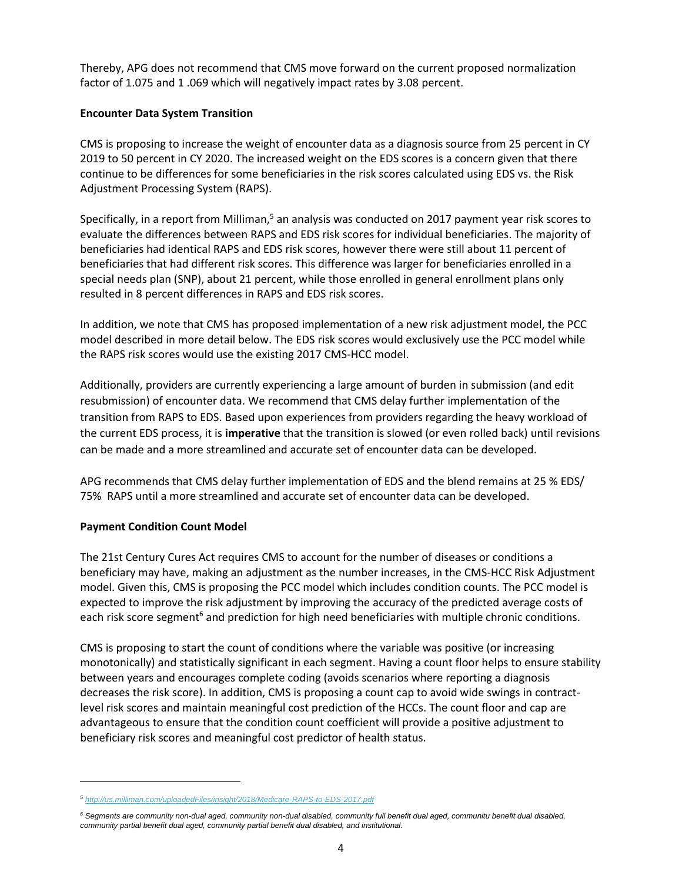Thereby, APG does not recommend that CMS move forward on the current proposed normalization factor of 1.075 and 1 .069 which will negatively impact rates by 3.08 percent.

## **Encounter Data System Transition**

CMS is proposing to increase the weight of encounter data as a diagnosis source from 25 percent in CY 2019 to 50 percent in CY 2020. The increased weight on the EDS scores is a concern given that there continue to be differences for some beneficiaries in the risk scores calculated using EDS vs. the Risk Adjustment Processing System (RAPS).

Specifically, in a report from Milliman, $5$  an analysis was conducted on 2017 payment year risk scores to evaluate the differences between RAPS and EDS risk scores for individual beneficiaries. The majority of beneficiaries had identical RAPS and EDS risk scores, however there were still about 11 percent of beneficiaries that had different risk scores. This difference was larger for beneficiaries enrolled in a special needs plan (SNP), about 21 percent, while those enrolled in general enrollment plans only resulted in 8 percent differences in RAPS and EDS risk scores.

In addition, we note that CMS has proposed implementation of a new risk adjustment model, the PCC model described in more detail below. The EDS risk scores would exclusively use the PCC model while the RAPS risk scores would use the existing 2017 CMS-HCC model.

Additionally, providers are currently experiencing a large amount of burden in submission (and edit resubmission) of encounter data. We recommend that CMS delay further implementation of the transition from RAPS to EDS. Based upon experiences from providers regarding the heavy workload of the current EDS process, it is **imperative** that the transition is slowed (or even rolled back) until revisions can be made and a more streamlined and accurate set of encounter data can be developed.

APG recommends that CMS delay further implementation of EDS and the blend remains at 25 % EDS/ 75% RAPS until a more streamlined and accurate set of encounter data can be developed.

# **Payment Condition Count Model**

 $\overline{a}$ 

The 21st Century Cures Act requires CMS to account for the number of diseases or conditions a beneficiary may have, making an adjustment as the number increases, in the CMS-HCC Risk Adjustment model. Given this, CMS is proposing the PCC model which includes condition counts. The PCC model is expected to improve the risk adjustment by improving the accuracy of the predicted average costs of each risk score segment<sup>6</sup> and prediction for high need beneficiaries with multiple chronic conditions.

CMS is proposing to start the count of conditions where the variable was positive (or increasing monotonically) and statistically significant in each segment. Having a count floor helps to ensure stability between years and encourages complete coding (avoids scenarios where reporting a diagnosis decreases the risk score). In addition, CMS is proposing a count cap to avoid wide swings in contractlevel risk scores and maintain meaningful cost prediction of the HCCs. The count floor and cap are advantageous to ensure that the condition count coefficient will provide a positive adjustment to beneficiary risk scores and meaningful cost predictor of health status.

*<sup>5</sup> <http://us.milliman.com/uploadedFiles/insight/2018/Medicare-RAPS-to-EDS-2017.pdf>*

*<sup>6</sup> Segments are community non-dual aged, community non-dual disabled, community full benefit dual aged, communitu benefit dual disabled, community partial benefit dual aged, community partial benefit dual disabled, and institutional.*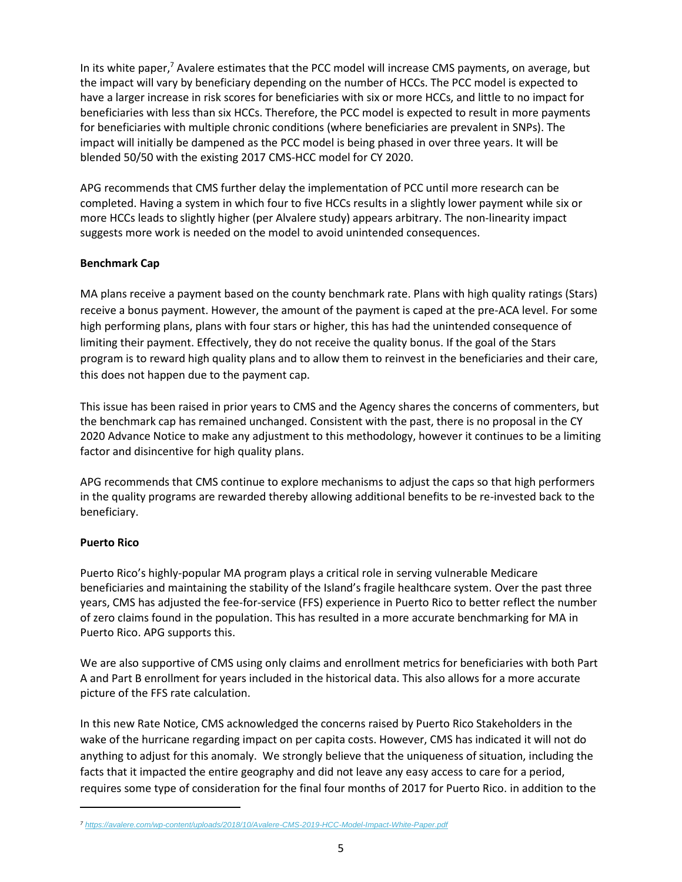In its white paper,<sup>7</sup> Avalere estimates that the PCC model will increase CMS payments, on average, but the impact will vary by beneficiary depending on the number of HCCs. The PCC model is expected to have a larger increase in risk scores for beneficiaries with six or more HCCs, and little to no impact for beneficiaries with less than six HCCs. Therefore, the PCC model is expected to result in more payments for beneficiaries with multiple chronic conditions (where beneficiaries are prevalent in SNPs). The impact will initially be dampened as the PCC model is being phased in over three years. It will be blended 50/50 with the existing 2017 CMS-HCC model for CY 2020.

APG recommends that CMS further delay the implementation of PCC until more research can be completed. Having a system in which four to five HCCs results in a slightly lower payment while six or more HCCs leads to slightly higher (per Alvalere study) appears arbitrary. The non-linearity impact suggests more work is needed on the model to avoid unintended consequences.

## **Benchmark Cap**

MA plans receive a payment based on the county benchmark rate. Plans with high quality ratings (Stars) receive a bonus payment. However, the amount of the payment is caped at the pre-ACA level. For some high performing plans, plans with four stars or higher, this has had the unintended consequence of limiting their payment. Effectively, they do not receive the quality bonus. If the goal of the Stars program is to reward high quality plans and to allow them to reinvest in the beneficiaries and their care, this does not happen due to the payment cap.

This issue has been raised in prior years to CMS and the Agency shares the concerns of commenters, but the benchmark cap has remained unchanged. Consistent with the past, there is no proposal in the CY 2020 Advance Notice to make any adjustment to this methodology, however it continues to be a limiting factor and disincentive for high quality plans.

APG recommends that CMS continue to explore mechanisms to adjust the caps so that high performers in the quality programs are rewarded thereby allowing additional benefits to be re-invested back to the beneficiary.

### **Puerto Rico**

Puerto Rico's highly-popular MA program plays a critical role in serving vulnerable Medicare beneficiaries and maintaining the stability of the Island's fragile healthcare system. Over the past three years, CMS has adjusted the fee-for-service (FFS) experience in Puerto Rico to better reflect the number of zero claims found in the population. This has resulted in a more accurate benchmarking for MA in Puerto Rico. APG supports this.

We are also supportive of CMS using only claims and enrollment metrics for beneficiaries with both Part A and Part B enrollment for years included in the historical data. This also allows for a more accurate picture of the FFS rate calculation.

In this new Rate Notice, CMS acknowledged the concerns raised by Puerto Rico Stakeholders in the wake of the hurricane regarding impact on per capita costs. However, CMS has indicated it will not do anything to adjust for this anomaly. We strongly believe that the uniqueness of situation, including the facts that it impacted the entire geography and did not leave any easy access to care for a period, requires some type of consideration for the final four months of 2017 for Puerto Rico. in addition to the

*<sup>7</sup> <https://avalere.com/wp-content/uploads/2018/10/Avalere-CMS-2019-HCC-Model-Impact-White-Paper.pdf>*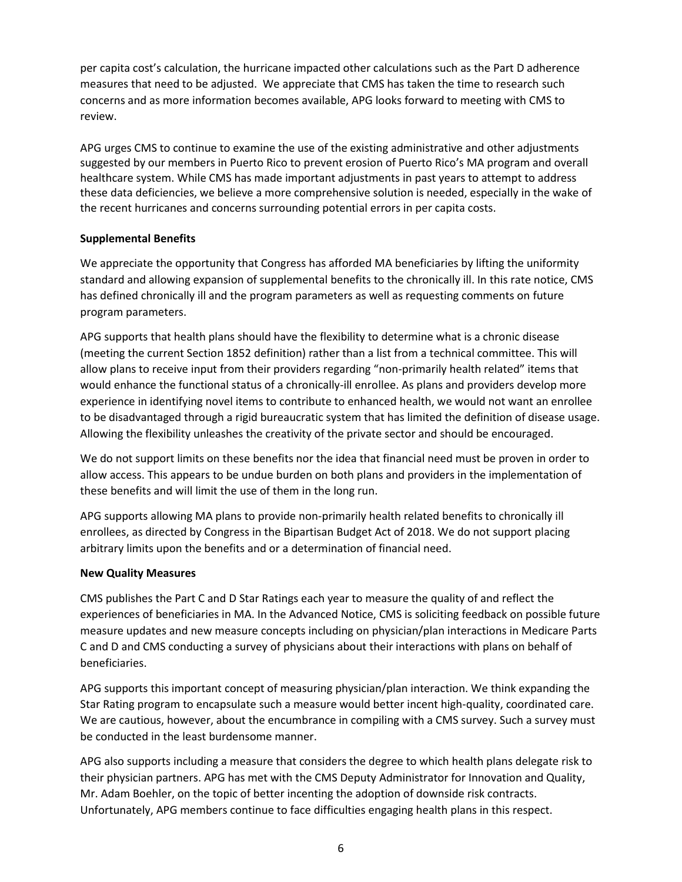per capita cost's calculation, the hurricane impacted other calculations such as the Part D adherence measures that need to be adjusted. We appreciate that CMS has taken the time to research such concerns and as more information becomes available, APG looks forward to meeting with CMS to review.

APG urges CMS to continue to examine the use of the existing administrative and other adjustments suggested by our members in Puerto Rico to prevent erosion of Puerto Rico's MA program and overall healthcare system. While CMS has made important adjustments in past years to attempt to address these data deficiencies, we believe a more comprehensive solution is needed, especially in the wake of the recent hurricanes and concerns surrounding potential errors in per capita costs.

## **Supplemental Benefits**

We appreciate the opportunity that Congress has afforded MA beneficiaries by lifting the uniformity standard and allowing expansion of supplemental benefits to the chronically ill. In this rate notice, CMS has defined chronically ill and the program parameters as well as requesting comments on future program parameters.

APG supports that health plans should have the flexibility to determine what is a chronic disease (meeting the current Section 1852 definition) rather than a list from a technical committee. This will allow plans to receive input from their providers regarding "non-primarily health related" items that would enhance the functional status of a chronically-ill enrollee. As plans and providers develop more experience in identifying novel items to contribute to enhanced health, we would not want an enrollee to be disadvantaged through a rigid bureaucratic system that has limited the definition of disease usage. Allowing the flexibility unleashes the creativity of the private sector and should be encouraged.

We do not support limits on these benefits nor the idea that financial need must be proven in order to allow access. This appears to be undue burden on both plans and providers in the implementation of these benefits and will limit the use of them in the long run.

APG supports allowing MA plans to provide non-primarily health related benefits to chronically ill enrollees, as directed by Congress in the Bipartisan Budget Act of 2018. We do not support placing arbitrary limits upon the benefits and or a determination of financial need.

### **New Quality Measures**

CMS publishes the Part C and D Star Ratings each year to measure the quality of and reflect the experiences of beneficiaries in MA. In the Advanced Notice, CMS is soliciting feedback on possible future measure updates and new measure concepts including on physician/plan interactions in Medicare Parts C and D and CMS conducting a survey of physicians about their interactions with plans on behalf of beneficiaries.

APG supports this important concept of measuring physician/plan interaction. We think expanding the Star Rating program to encapsulate such a measure would better incent high-quality, coordinated care. We are cautious, however, about the encumbrance in compiling with a CMS survey. Such a survey must be conducted in the least burdensome manner.

APG also supports including a measure that considers the degree to which health plans delegate risk to their physician partners. APG has met with the CMS Deputy Administrator for Innovation and Quality, Mr. Adam Boehler, on the topic of better incenting the adoption of downside risk contracts. Unfortunately, APG members continue to face difficulties engaging health plans in this respect.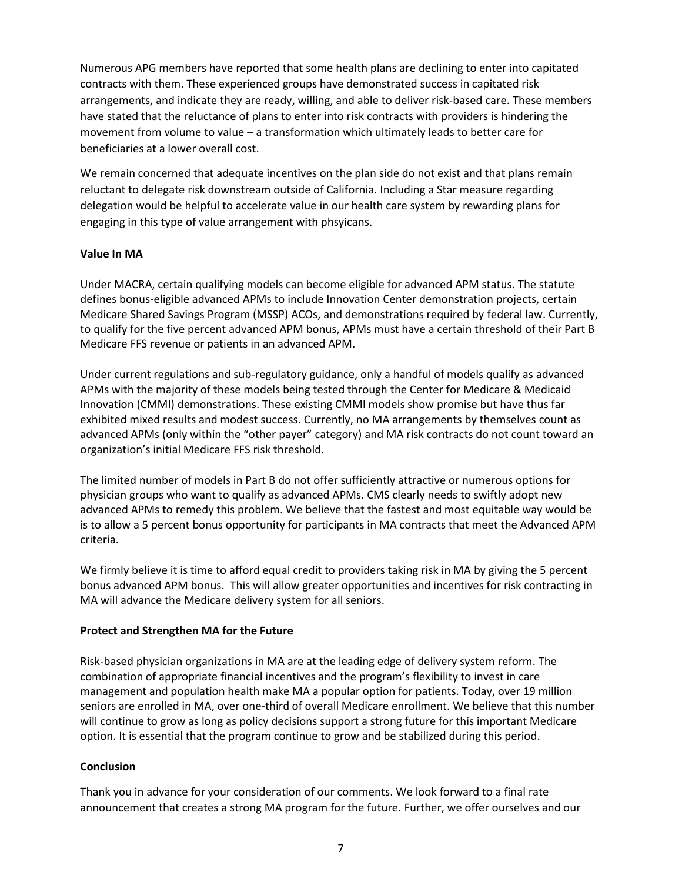Numerous APG members have reported that some health plans are declining to enter into capitated contracts with them. These experienced groups have demonstrated success in capitated risk arrangements, and indicate they are ready, willing, and able to deliver risk-based care. These members have stated that the reluctance of plans to enter into risk contracts with providers is hindering the movement from volume to value – a transformation which ultimately leads to better care for beneficiaries at a lower overall cost.

We remain concerned that adequate incentives on the plan side do not exist and that plans remain reluctant to delegate risk downstream outside of California. Including a Star measure regarding delegation would be helpful to accelerate value in our health care system by rewarding plans for engaging in this type of value arrangement with phsyicans.

## **Value In MA**

Under MACRA, certain qualifying models can become eligible for advanced APM status. The statute defines bonus-eligible advanced APMs to include Innovation Center demonstration projects, certain Medicare Shared Savings Program (MSSP) ACOs, and demonstrations required by federal law. Currently, to qualify for the five percent advanced APM bonus, APMs must have a certain threshold of their Part B Medicare FFS revenue or patients in an advanced APM.

Under current regulations and sub-regulatory guidance, only a handful of models qualify as advanced APMs with the majority of these models being tested through the Center for Medicare & Medicaid Innovation (CMMI) demonstrations. These existing CMMI models show promise but have thus far exhibited mixed results and modest success. Currently, no MA arrangements by themselves count as advanced APMs (only within the "other payer" category) and MA risk contracts do not count toward an organization's initial Medicare FFS risk threshold.

The limited number of models in Part B do not offer sufficiently attractive or numerous options for physician groups who want to qualify as advanced APMs. CMS clearly needs to swiftly adopt new advanced APMs to remedy this problem. We believe that the fastest and most equitable way would be is to allow a 5 percent bonus opportunity for participants in MA contracts that meet the Advanced APM criteria.

We firmly believe it is time to afford equal credit to providers taking risk in MA by giving the 5 percent bonus advanced APM bonus. This will allow greater opportunities and incentives for risk contracting in MA will advance the Medicare delivery system for all seniors.

### **Protect and Strengthen MA for the Future**

Risk-based physician organizations in MA are at the leading edge of delivery system reform. The combination of appropriate financial incentives and the program's flexibility to invest in care management and population health make MA a popular option for patients. Today, over 19 million seniors are enrolled in MA, over one-third of overall Medicare enrollment. We believe that this number will continue to grow as long as policy decisions support a strong future for this important Medicare option. It is essential that the program continue to grow and be stabilized during this period.

### **Conclusion**

Thank you in advance for your consideration of our comments. We look forward to a final rate announcement that creates a strong MA program for the future. Further, we offer ourselves and our